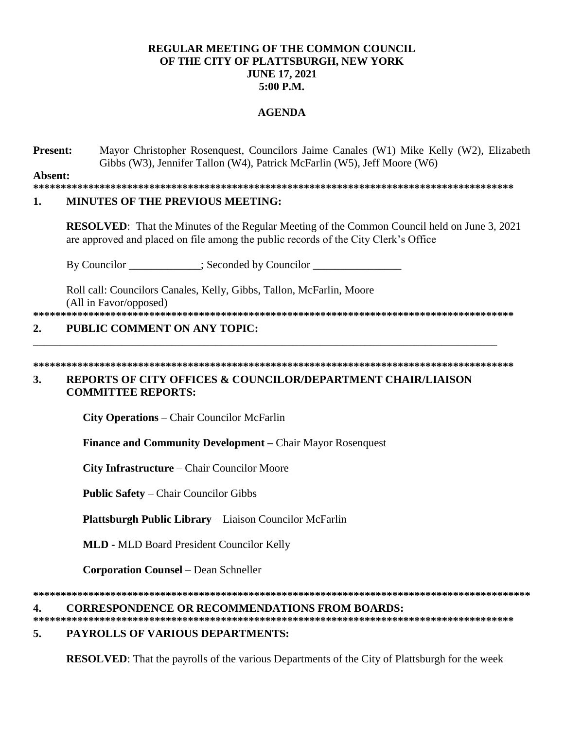## **REGULAR MEETING OF THE COMMON COUNCIL OF THE CITY OF PLATTSBURGH, NEW YORK JUNE 17, 2021 5:00 P.M.**

## **AGENDA**

**Present:** Mayor Christopher Rosenquest, Councilors Jaime Canales (W1) Mike Kelly (W2), Elizabeth Gibbs (W3), Jennifer Tallon (W4), Patrick McFarlin (W5), Jeff Moore (W6)

**Absent:**

**\*\*\*\*\*\*\*\*\*\*\*\*\*\*\*\*\*\*\*\*\*\*\*\*\*\*\*\*\*\*\*\*\*\*\*\*\*\*\*\*\*\*\*\*\*\*\*\*\*\*\*\*\*\*\*\*\*\*\*\*\*\*\*\*\*\*\*\*\*\*\*\*\*\*\*\*\*\*\*\*\*\*\*\*\*\*\***

## **1. MINUTES OF THE PREVIOUS MEETING:**

**RESOLVED**: That the Minutes of the Regular Meeting of the Common Council held on June 3, 2021 are approved and placed on file among the public records of the City Clerk's Office

By Councilor \_\_\_\_\_\_\_\_\_\_\_; Seconded by Councilor \_\_\_\_\_\_\_\_\_\_\_\_\_\_\_\_\_\_\_\_\_\_\_;

Roll call: Councilors Canales, Kelly, Gibbs, Tallon, McFarlin, Moore (All in Favor/opposed)

**\*\*\*\*\*\*\*\*\*\*\*\*\*\*\*\*\*\*\*\*\*\*\*\*\*\*\*\*\*\*\*\*\*\*\*\*\*\*\*\*\*\*\*\*\*\*\*\*\*\*\*\*\*\*\*\*\*\*\*\*\*\*\*\*\*\*\*\*\*\*\*\*\*\*\*\*\*\*\*\*\*\*\*\*\*\*\***

## **2. PUBLIC COMMENT ON ANY TOPIC:**

**\*\*\*\*\*\*\*\*\*\*\*\*\*\*\*\*\*\*\*\*\*\*\*\*\*\*\*\*\*\*\*\*\*\*\*\*\*\*\*\*\*\*\*\*\*\*\*\*\*\*\*\*\*\*\*\*\*\*\*\*\*\*\*\*\*\*\*\*\*\*\*\*\*\*\*\*\*\*\*\*\*\*\*\*\*\*\*** 

\_\_\_\_\_\_\_\_\_\_\_\_\_\_\_\_\_\_\_\_\_\_\_\_\_\_\_\_\_\_\_\_\_\_\_\_\_\_\_\_\_\_\_\_\_\_\_\_\_\_\_\_\_\_\_\_\_\_\_\_\_\_\_\_\_\_\_\_\_\_\_\_\_\_\_\_\_\_\_\_\_\_\_\_

## **3. REPORTS OF CITY OFFICES & COUNCILOR/DEPARTMENT CHAIR/LIAISON COMMITTEE REPORTS:**

**City Operations** – Chair Councilor McFarlin

**Finance and Community Development –** Chair Mayor Rosenquest

**City Infrastructure** – Chair Councilor Moore

**Public Safety** – Chair Councilor Gibbs

**Plattsburgh Public Library** – Liaison Councilor McFarlin

**MLD -** MLD Board President Councilor Kelly

**Corporation Counsel** – Dean Schneller

**\*\*\*\*\*\*\*\*\*\*\*\*\*\*\*\*\*\*\*\*\*\*\*\*\*\*\*\*\*\*\*\*\*\*\*\*\*\*\*\*\*\*\*\*\*\*\*\*\*\*\*\*\*\*\*\*\*\*\*\*\*\*\*\*\*\*\*\*\*\*\*\*\*\*\*\*\*\*\*\*\*\*\*\*\*\*\*\*\*\***

#### **4. CORRESPONDENCE OR RECOMMENDATIONS FROM BOARDS:**

**\*\*\*\*\*\*\*\*\*\*\*\*\*\*\*\*\*\*\*\*\*\*\*\*\*\*\*\*\*\*\*\*\*\*\*\*\*\*\*\*\*\*\*\*\*\*\*\*\*\*\*\*\*\*\*\*\*\*\*\*\*\*\*\*\*\*\*\*\*\*\*\*\*\*\*\*\*\*\*\*\*\*\*\*\*\*\***

# **5. PAYROLLS OF VARIOUS DEPARTMENTS:**

**RESOLVED**: That the payrolls of the various Departments of the City of Plattsburgh for the week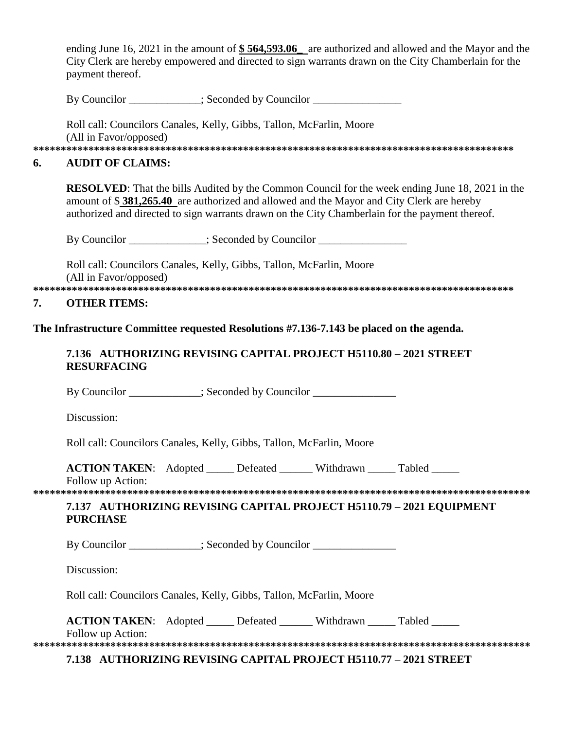ending June 16, 2021 in the amount of **\$ 564,593.06\_** are authorized and allowed and the Mayor and the City Clerk are hereby empowered and directed to sign warrants drawn on the City Chamberlain for the payment thereof.

By Councilor \_\_\_\_\_\_\_\_\_\_\_; Seconded by Councilor \_\_\_\_\_\_\_\_\_\_\_\_\_\_\_\_\_\_\_\_\_\_\_\_\_\_\_\_\_\_\_\_\_

Roll call: Councilors Canales, Kelly, Gibbs, Tallon, McFarlin, Moore (All in Favor/opposed)

**\*\*\*\*\*\*\*\*\*\*\*\*\*\*\*\*\*\*\*\*\*\*\*\*\*\*\*\*\*\*\*\*\*\*\*\*\*\*\*\*\*\*\*\*\*\*\*\*\*\*\*\*\*\*\*\*\*\*\*\*\*\*\*\*\*\*\*\*\*\*\*\*\*\*\*\*\*\*\*\*\*\*\*\*\*\*\*** 

#### **6. AUDIT OF CLAIMS:**

**RESOLVED**: That the bills Audited by the Common Council for the week ending June 18, 2021 in the amount of \$ **381,265.40** are authorized and allowed and the Mayor and City Clerk are hereby authorized and directed to sign warrants drawn on the City Chamberlain for the payment thereof.

By Councilor \_\_\_\_\_\_\_\_\_\_; Seconded by Councilor \_\_\_\_\_\_\_\_\_\_\_\_\_\_\_\_\_\_\_\_\_\_\_\_\_\_\_\_\_\_\_\_\_

Roll call: Councilors Canales, Kelly, Gibbs, Tallon, McFarlin, Moore (All in Favor/opposed) **\*\*\*\*\*\*\*\*\*\*\*\*\*\*\*\*\*\*\*\*\*\*\*\*\*\*\*\*\*\*\*\*\*\*\*\*\*\*\*\*\*\*\*\*\*\*\*\*\*\*\*\*\*\*\*\*\*\*\*\*\*\*\*\*\*\*\*\*\*\*\*\*\*\*\*\*\*\*\*\*\*\*\*\*\*\*\***

#### **7. OTHER ITEMS:**

**The Infrastructure Committee requested Resolutions #7.136-7.143 be placed on the agenda.**

## **7.136 AUTHORIZING REVISING CAPITAL PROJECT H5110.80 – 2021 STREET RESURFACING**

By Councilor \_\_\_\_\_\_\_\_\_\_; Seconded by Councilor \_\_\_\_\_\_\_\_\_\_\_\_\_\_\_\_\_\_\_\_\_\_\_\_\_\_\_\_\_\_\_\_\_

Discussion:

Roll call: Councilors Canales, Kelly, Gibbs, Tallon, McFarlin, Moore

| <b>ACTION TAKEN:</b> Adopted |  | Defeated | Withdrawn | Tabled |
|------------------------------|--|----------|-----------|--------|
|------------------------------|--|----------|-----------|--------|

Follow up Action:

**\*\*\*\*\*\*\*\*\*\*\*\*\*\*\*\*\*\*\*\*\*\*\*\*\*\*\*\*\*\*\*\*\*\*\*\*\*\*\*\*\*\*\*\*\*\*\*\*\*\*\*\*\*\*\*\*\*\*\*\*\*\*\*\*\*\*\*\*\*\*\*\*\*\*\*\*\*\*\*\*\*\*\*\*\*\*\*\*\*\***

# **7.137 AUTHORIZING REVISING CAPITAL PROJECT H5110.79 – 2021 EQUIPMENT PURCHASE**

By Councilor \_\_\_\_\_\_\_\_\_\_; Seconded by Councilor \_\_\_\_\_\_\_\_\_\_\_\_\_\_\_\_\_\_\_\_\_\_\_\_\_\_\_\_\_\_\_\_\_

Discussion:

| Roll call: Councilors Canales, Kelly, Gibbs, Tallon, McFarlin, Moore |  |  |  |  |  |  |  |
|----------------------------------------------------------------------|--|--|--|--|--|--|--|
|----------------------------------------------------------------------|--|--|--|--|--|--|--|

| <b>ACTION TAKEN:</b> Adopted |  | Defeated | Withdrawn | Tabled |
|------------------------------|--|----------|-----------|--------|
|------------------------------|--|----------|-----------|--------|

Follow up Action:

**\*\*\*\*\*\*\*\*\*\*\*\*\*\*\*\*\*\*\*\*\*\*\*\*\*\*\*\*\*\*\*\*\*\*\*\*\*\*\*\*\*\*\*\*\*\*\*\*\*\*\*\*\*\*\*\*\*\*\*\*\*\*\*\*\*\*\*\*\*\*\*\*\*\*\*\*\*\*\*\*\*\*\*\*\*\*\*\*\*\* 7.138 AUTHORIZING REVISING CAPITAL PROJECT H5110.77 – 2021 STREET**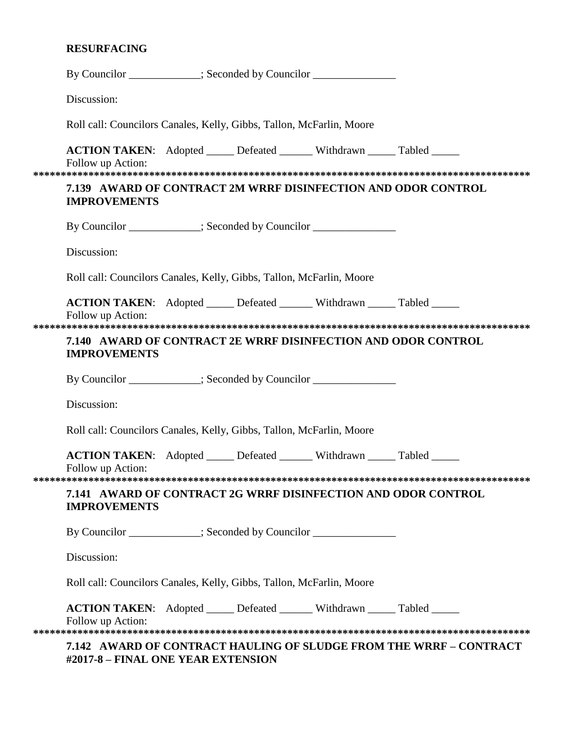# **RESURFACING**

| By Councilor ____________; Seconded by Councilor _______________________________                     |  |                                                                    |  |
|------------------------------------------------------------------------------------------------------|--|--------------------------------------------------------------------|--|
| Discussion:                                                                                          |  |                                                                    |  |
| Roll call: Councilors Canales, Kelly, Gibbs, Tallon, McFarlin, Moore                                 |  |                                                                    |  |
| <b>ACTION TAKEN:</b> Adopted _____ Defeated ______ Withdrawn _____ Tabled _____<br>Follow up Action: |  |                                                                    |  |
| <b>IMPROVEMENTS</b>                                                                                  |  | 7.139 AWARD OF CONTRACT 2M WRRF DISINFECTION AND ODOR CONTROL      |  |
| By Councilor ___________; Seconded by Councilor ______________                                       |  |                                                                    |  |
| Discussion:                                                                                          |  |                                                                    |  |
| Roll call: Councilors Canales, Kelly, Gibbs, Tallon, McFarlin, Moore                                 |  |                                                                    |  |
| <b>ACTION TAKEN:</b> Adopted _____ Defeated ______ Withdrawn _____ Tabled _____<br>Follow up Action: |  |                                                                    |  |
| <b>IMPROVEMENTS</b>                                                                                  |  | 7.140 AWARD OF CONTRACT 2E WRRF DISINFECTION AND ODOR CONTROL      |  |
| By Councilor ___________; Seconded by Councilor ______________                                       |  |                                                                    |  |
| Discussion:                                                                                          |  |                                                                    |  |
| Roll call: Councilors Canales, Kelly, Gibbs, Tallon, McFarlin, Moore                                 |  |                                                                    |  |
| <b>ACTION TAKEN:</b> Adopted _____ Defeated ______ Withdrawn _____ Tabled _____<br>Follow up Action: |  |                                                                    |  |
| <b>IMPROVEMENTS</b>                                                                                  |  | 7.141 AWARD OF CONTRACT 2G WRRF DISINFECTION AND ODOR CONTROL      |  |
| By Councilor ___________; Seconded by Councilor _______________                                      |  |                                                                    |  |
| Discussion:                                                                                          |  |                                                                    |  |
| Roll call: Councilors Canales, Kelly, Gibbs, Tallon, McFarlin, Moore                                 |  |                                                                    |  |
| ACTION TAKEN: Adopted _____ Defeated ______ Withdrawn _____ Tabled _____<br>Follow up Action:        |  |                                                                    |  |
| #2017-8 - FINAL ONE YEAR EXTENSION                                                                   |  | 7.142 AWARD OF CONTRACT HAULING OF SLUDGE FROM THE WRRF – CONTRACT |  |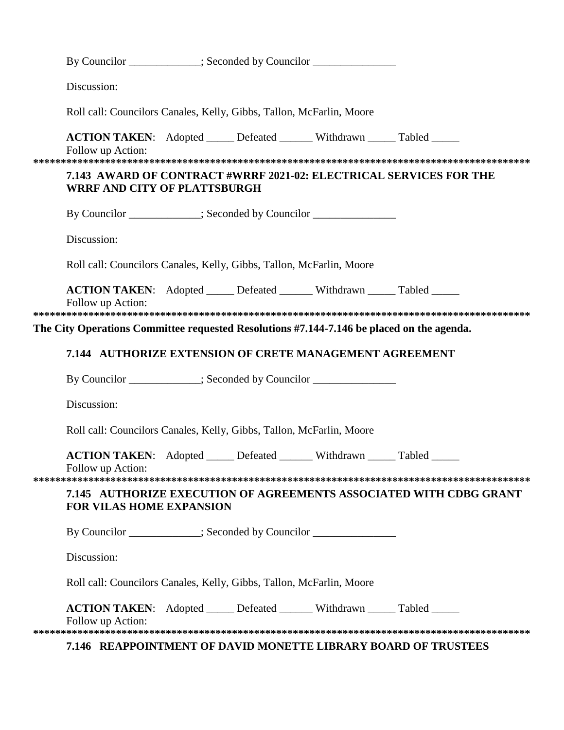| By Councilor ___________; Seconded by Councilor ______________                                       |  |                                                                    |
|------------------------------------------------------------------------------------------------------|--|--------------------------------------------------------------------|
| Discussion:                                                                                          |  |                                                                    |
| Roll call: Councilors Canales, Kelly, Gibbs, Tallon, McFarlin, Moore                                 |  |                                                                    |
| ACTION TAKEN: Adopted _____ Defeated ______ Withdrawn _____ Tabled _____<br>Follow up Action:        |  |                                                                    |
| <b>WRRF AND CITY OF PLATTSBURGH</b>                                                                  |  | 7.143 AWARD OF CONTRACT #WRRF 2021-02: ELECTRICAL SERVICES FOR THE |
| By Councilor ___________; Seconded by Councilor ______________                                       |  |                                                                    |
| Discussion:                                                                                          |  |                                                                    |
| Roll call: Councilors Canales, Kelly, Gibbs, Tallon, McFarlin, Moore                                 |  |                                                                    |
| ACTION TAKEN: Adopted _____ Defeated ______ Withdrawn _____ Tabled _____<br>Follow up Action:        |  |                                                                    |
|                                                                                                      |  |                                                                    |
| The City Operations Committee requested Resolutions #7.144-7.146 be placed on the agenda.            |  |                                                                    |
| 7.144 AUTHORIZE EXTENSION OF CRETE MANAGEMENT AGREEMENT                                              |  |                                                                    |
| By Councilor __________; Seconded by Councilor ______________                                        |  |                                                                    |
| Discussion:                                                                                          |  |                                                                    |
| Roll call: Councilors Canales, Kelly, Gibbs, Tallon, McFarlin, Moore                                 |  |                                                                    |
| <b>ACTION TAKEN:</b> Adopted _____ Defeated ______ Withdrawn _____ Tabled _____<br>Follow up Action: |  |                                                                    |
|                                                                                                      |  |                                                                    |
| <b>FOR VILAS HOME EXPANSION</b>                                                                      |  | 7.145 AUTHORIZE EXECUTION OF AGREEMENTS ASSOCIATED WITH CDBG GRANT |
| By Councilor ___________; Seconded by Councilor _______________                                      |  |                                                                    |
| Discussion:                                                                                          |  |                                                                    |
|                                                                                                      |  |                                                                    |
| Roll call: Councilors Canales, Kelly, Gibbs, Tallon, McFarlin, Moore                                 |  |                                                                    |
| <b>ACTION TAKEN:</b> Adopted _____ Defeated ______ Withdrawn _____ Tabled _____<br>Follow up Action: |  |                                                                    |

#### **7.146 REAPPOINTMENT OF DAVID MONETTE LIBRARY BOARD OF TRUSTEES**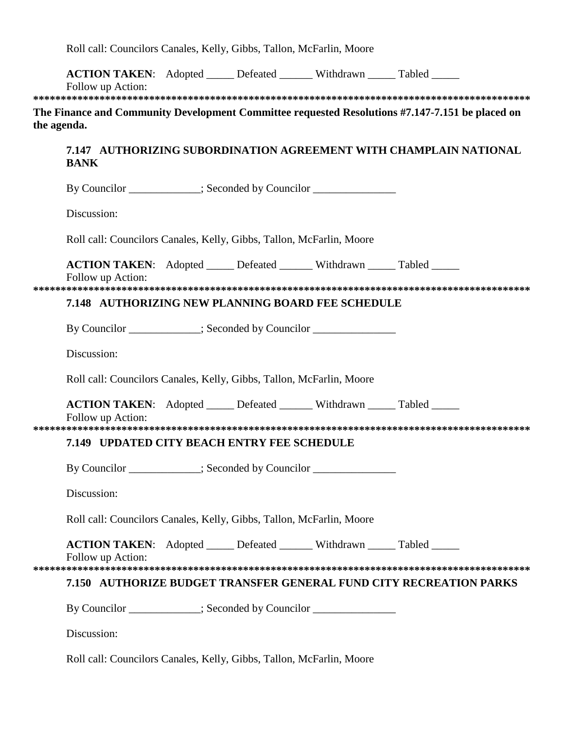Roll call: Councilors Canales, Kelly, Gibbs, Tallon, McFarlin, Moore

|             | <b>ACTION TAKEN:</b> Adopted ______ Defeated _______ Withdrawn _____ Tabled ______<br>Follow up Action: |  |  |  |
|-------------|---------------------------------------------------------------------------------------------------------|--|--|--|
|             | The Finance and Community Development Committee requested Resolutions #7.147-7.151 be placed on         |  |  |  |
| the agenda. |                                                                                                         |  |  |  |
|             | 7.147 AUTHORIZING SUBORDINATION AGREEMENT WITH CHAMPLAIN NATIONAL<br><b>BANK</b>                        |  |  |  |
|             | By Councilor ___________; Seconded by Councilor _______________                                         |  |  |  |
|             | Discussion:                                                                                             |  |  |  |
|             | Roll call: Councilors Canales, Kelly, Gibbs, Tallon, McFarlin, Moore                                    |  |  |  |
|             | <b>ACTION TAKEN:</b> Adopted _____ Defeated ______ Withdrawn _____ Tabled _____<br>Follow up Action:    |  |  |  |
|             |                                                                                                         |  |  |  |
|             | 7.148 AUTHORIZING NEW PLANNING BOARD FEE SCHEDULE                                                       |  |  |  |
|             | By Councilor ___________; Seconded by Councilor ______________                                          |  |  |  |
|             | Discussion:                                                                                             |  |  |  |
|             | Roll call: Councilors Canales, Kelly, Gibbs, Tallon, McFarlin, Moore                                    |  |  |  |
|             | <b>ACTION TAKEN:</b> Adopted ______ Defeated _______ Withdrawn _____ Tabled _____<br>Follow up Action:  |  |  |  |
|             |                                                                                                         |  |  |  |
|             | 7.149 UPDATED CITY BEACH ENTRY FEE SCHEDULE                                                             |  |  |  |
|             | By Councilor __________; Seconded by Councilor ______________                                           |  |  |  |
|             | Discussion:                                                                                             |  |  |  |
|             | Roll call: Councilors Canales, Kelly, Gibbs, Tallon, McFarlin, Moore                                    |  |  |  |
|             | <b>ACTION TAKEN:</b> Adopted _____ Defeated ______ Withdrawn _____ Tabled _____<br>Follow up Action:    |  |  |  |
|             | 7.150 AUTHORIZE BUDGET TRANSFER GENERAL FUND CITY RECREATION PARKS                                      |  |  |  |
|             | By Councilor ____________; Seconded by Councilor _______________                                        |  |  |  |
|             | Discussion:                                                                                             |  |  |  |
|             |                                                                                                         |  |  |  |

Roll call: Councilors Canales, Kelly, Gibbs, Tallon, McFarlin, Moore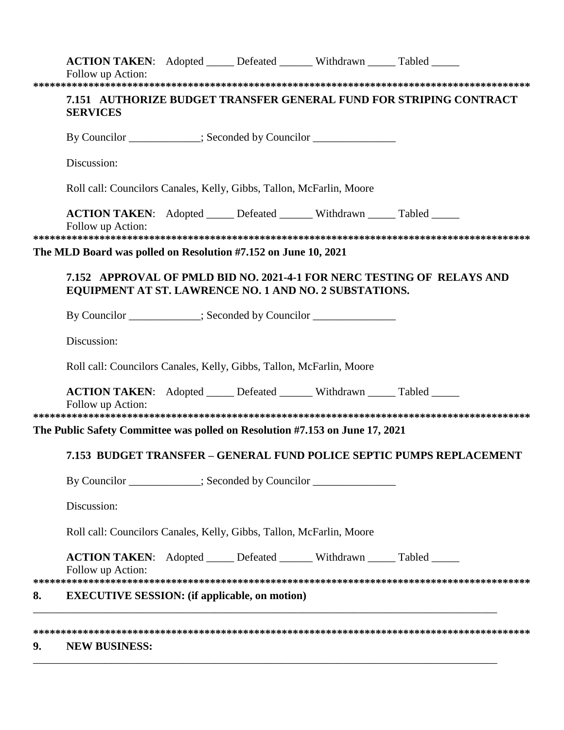|    | <b>ACTION TAKEN:</b> Adopted _____ Defeated ______ Withdrawn _____ Tabled _____<br>Follow up Action:                                                                                 |  |                                                                        |
|----|--------------------------------------------------------------------------------------------------------------------------------------------------------------------------------------|--|------------------------------------------------------------------------|
|    | <b>SERVICES</b>                                                                                                                                                                      |  | 7.151 AUTHORIZE BUDGET TRANSFER GENERAL FUND FOR STRIPING CONTRACT     |
|    | By Councilor ___________; Seconded by Councilor _______________                                                                                                                      |  |                                                                        |
|    | Discussion:                                                                                                                                                                          |  |                                                                        |
|    | Roll call: Councilors Canales, Kelly, Gibbs, Tallon, McFarlin, Moore                                                                                                                 |  |                                                                        |
|    | <b>ACTION TAKEN:</b> Adopted _____ Defeated ______ Withdrawn _____ Tabled _____<br>Follow up Action:                                                                                 |  |                                                                        |
|    | The MLD Board was polled on Resolution #7.152 on June 10, 2021                                                                                                                       |  |                                                                        |
|    | EQUIPMENT AT ST. LAWRENCE NO. 1 AND NO. 2 SUBSTATIONS.                                                                                                                               |  | 7.152 APPROVAL OF PMLD BID NO. 2021-4-1 FOR NERC TESTING OF RELAYS AND |
|    | By Councilor ___________; Seconded by Councilor _______________                                                                                                                      |  |                                                                        |
|    | Discussion:                                                                                                                                                                          |  |                                                                        |
|    | Roll call: Councilors Canales, Kelly, Gibbs, Tallon, McFarlin, Moore                                                                                                                 |  |                                                                        |
|    | <b>ACTION TAKEN:</b> Adopted _____ Defeated ______ Withdrawn _____ Tabled _____<br>Follow up Action:<br>The Public Safety Committee was polled on Resolution #7.153 on June 17, 2021 |  |                                                                        |
|    |                                                                                                                                                                                      |  | 7.153 BUDGET TRANSFER – GENERAL FUND POLICE SEPTIC PUMPS REPLACEMENT   |
|    | By Councilor ___________; Seconded by Councilor _______________                                                                                                                      |  |                                                                        |
|    | Discussion:                                                                                                                                                                          |  |                                                                        |
|    | Roll call: Councilors Canales, Kelly, Gibbs, Tallon, McFarlin, Moore                                                                                                                 |  |                                                                        |
|    | ACTION TAKEN: Adopted _____ Defeated ______ Withdrawn _____ Tabled _____<br>Follow up Action:                                                                                        |  |                                                                        |
| 8. | <b>EXECUTIVE SESSION:</b> (if applicable, on motion)                                                                                                                                 |  |                                                                        |
| 9. | <b>NEW BUSINESS:</b>                                                                                                                                                                 |  |                                                                        |